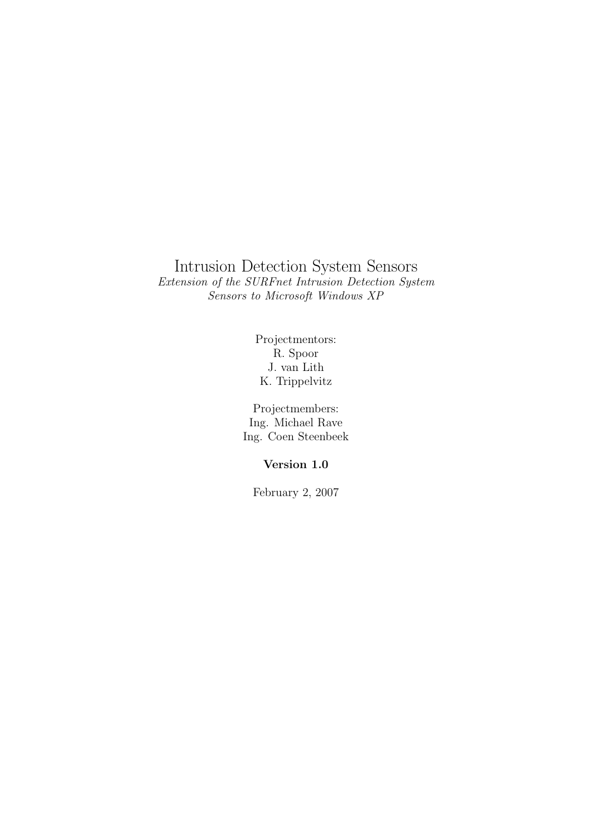### Intrusion Detection System Sensors Extension of the SURFnet Intrusion Detection System Sensors to Microsoft Windows XP

Projectmentors: R. Spoor J. van Lith K. Trippelvitz

Projectmembers: Ing. Michael Rave Ing. Coen Steenbeek

#### Version 1.0

February 2, 2007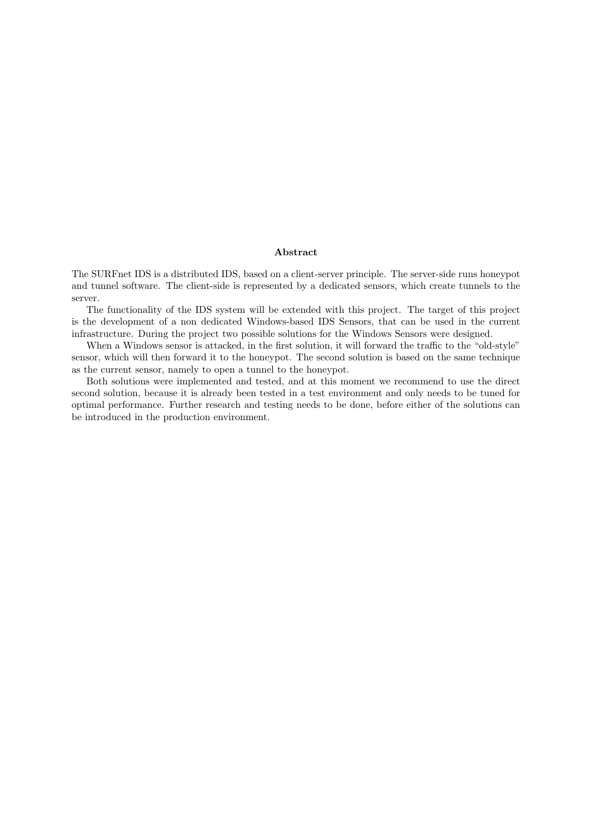#### Abstract

The SURFnet IDS is a distributed IDS, based on a client-server principle. The server-side runs honeypot and tunnel software. The client-side is represented by a dedicated sensors, which create tunnels to the server.

The functionality of the IDS system will be extended with this project. The target of this project is the development of a non dedicated Windows-based IDS Sensors, that can be used in the current infrastructure. During the project two possible solutions for the Windows Sensors were designed.

When a Windows sensor is attacked, in the first solution, it will forward the traffic to the "old-style" sensor, which will then forward it to the honeypot. The second solution is based on the same technique as the current sensor, namely to open a tunnel to the honeypot.

Both solutions were implemented and tested, and at this moment we recommend to use the direct second solution, because it is already been tested in a test environment and only needs to be tuned for optimal performance. Further research and testing needs to be done, before either of the solutions can be introduced in the production environment.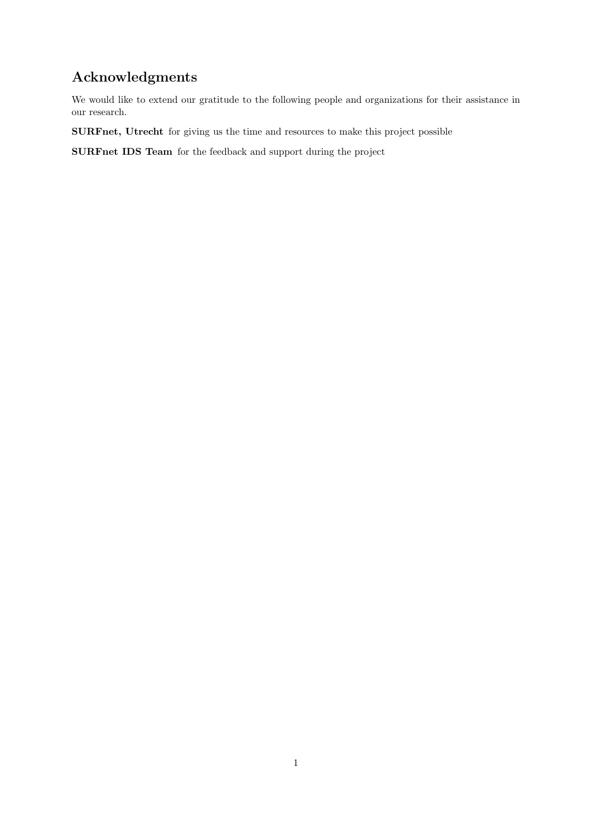## Acknowledgments

We would like to extend our gratitude to the following people and organizations for their assistance in our research.

SURFnet, Utrecht for giving us the time and resources to make this project possible

SURFnet IDS Team for the feedback and support during the project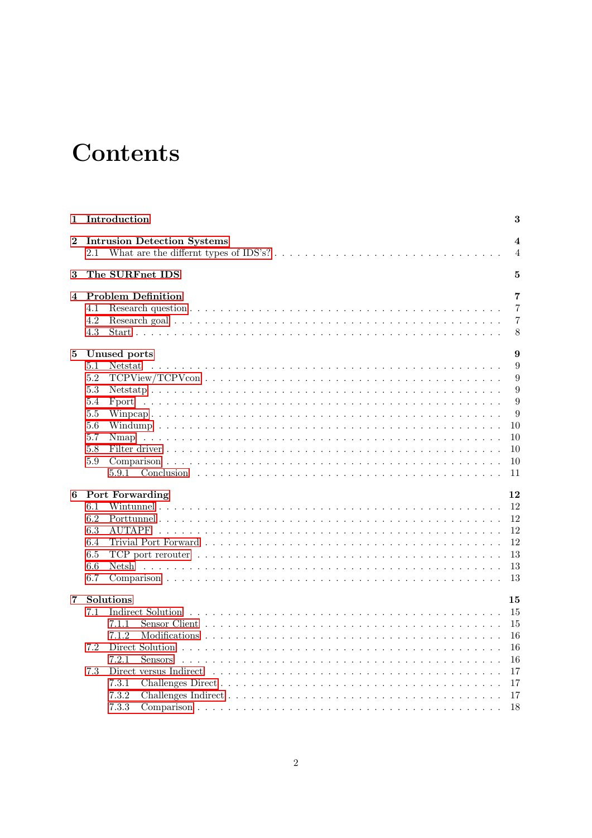# **Contents**

| $\mathbf 1$ | Introduction                                                                                                                                                                              | 3                                         |
|-------------|-------------------------------------------------------------------------------------------------------------------------------------------------------------------------------------------|-------------------------------------------|
| $\bf{2}$    | <b>Intrusion Detection Systems</b><br>What are the differnt types of IDS's? $\dots \dots \dots \dots \dots \dots \dots \dots \dots \dots \dots \dots$<br>2.1                              | $\overline{\mathbf{4}}$<br>$\overline{4}$ |
| 3           | The SURFnet IDS                                                                                                                                                                           | 5                                         |
| 4           | <b>Problem Definition</b><br>4.1                                                                                                                                                          | 7<br>7                                    |
|             | 4.2<br>4.3                                                                                                                                                                                | $\overline{7}$<br>8                       |
| 5           | Unused ports                                                                                                                                                                              | 9                                         |
|             | 5.1<br>Netstat<br>5.2                                                                                                                                                                     | 9<br>9                                    |
|             | 5.3<br>5.4<br>Fport<br>$5.5\,$                                                                                                                                                            | 9<br>9<br>9                               |
|             | 5.6<br>5.7                                                                                                                                                                                | 10<br>10                                  |
|             | 5.8<br>5.9<br>5.9.1                                                                                                                                                                       | 10<br>10<br>11                            |
| 6           | Port Forwarding                                                                                                                                                                           | 12                                        |
|             | 6.1<br>6.2<br>6.3<br>6.4<br>6.5<br>TCP port rerouter $\dots \dots \dots \dots \dots \dots \dots \dots \dots \dots \dots \dots \dots \dots \dots \dots \dots \dots$<br>6.6<br>Netsh<br>6.7 | 12<br>12<br>12<br>12<br>13<br>13<br>13    |
| 7           | Solutions<br>7.1                                                                                                                                                                          | 15<br>15                                  |
|             | 7.1.1<br>7.1.2                                                                                                                                                                            | 15<br>16                                  |
|             | 7.2<br>7.2.1<br><b>Sensors</b><br>7.3<br>Direct versus Indirect                                                                                                                           | 16<br>16<br>17                            |
|             | 7.3.1<br>7.3.2<br>7.3.3                                                                                                                                                                   | 17<br>17<br>18                            |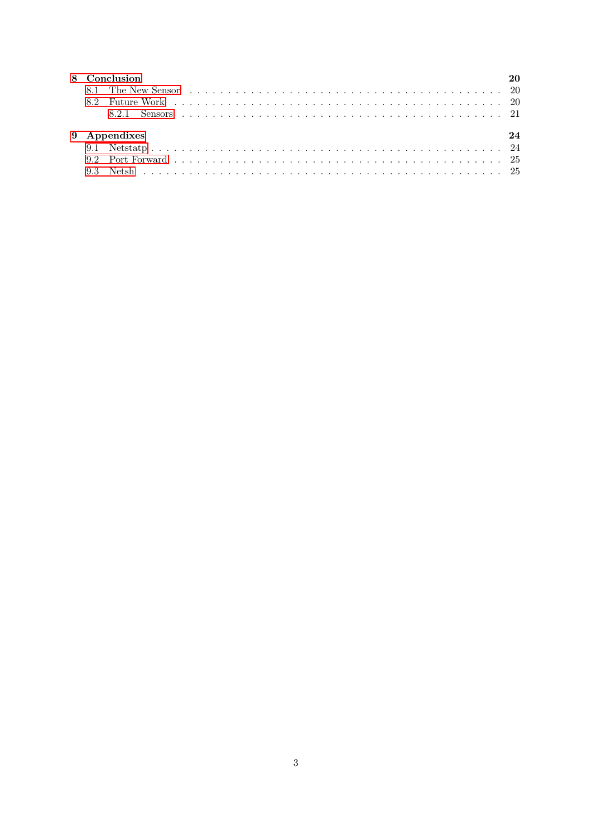| 8 Conclusion |  |  |  |  |
|--------------|--|--|--|--|
|              |  |  |  |  |
|              |  |  |  |  |
|              |  |  |  |  |
| 9 Appendixes |  |  |  |  |
|              |  |  |  |  |
|              |  |  |  |  |
|              |  |  |  |  |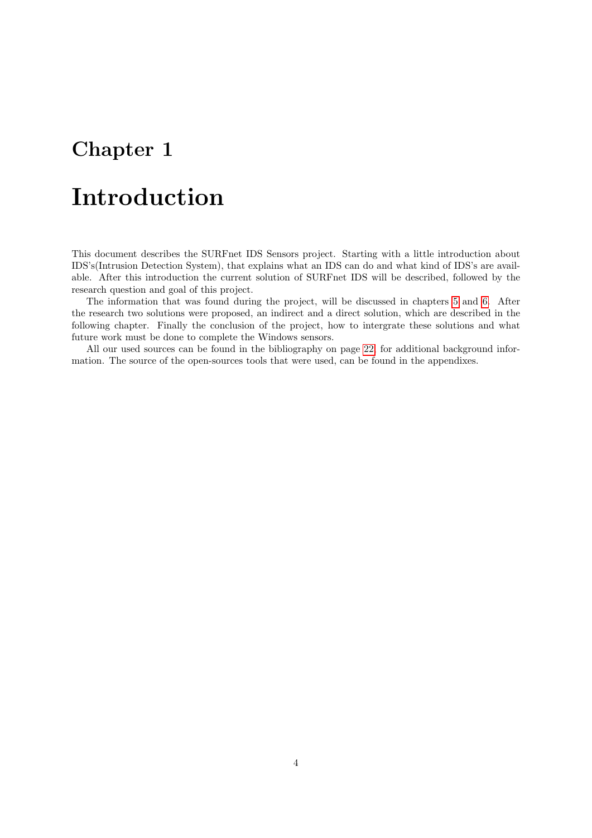# <span id="page-5-0"></span>Introduction

This document describes the SURFnet IDS Sensors project. Starting with a little introduction about IDS's(Intrusion Detection System), that explains what an IDS can do and what kind of IDS's are available. After this introduction the current solution of SURFnet IDS will be described, followed by the research question and goal of this project.

The information that was found during the project, will be discussed in chapters [5](#page-11-0) and [6.](#page-14-0) After the research two solutions were proposed, an indirect and a direct solution, which are described in the following chapter. Finally the conclusion of the project, how to intergrate these solutions and what future work must be done to complete the Windows sensors.

All our used sources can be found in the bibliography on page [22,](#page-24-0) for additional background information. The source of the open-sources tools that were used, can be found in the appendixes.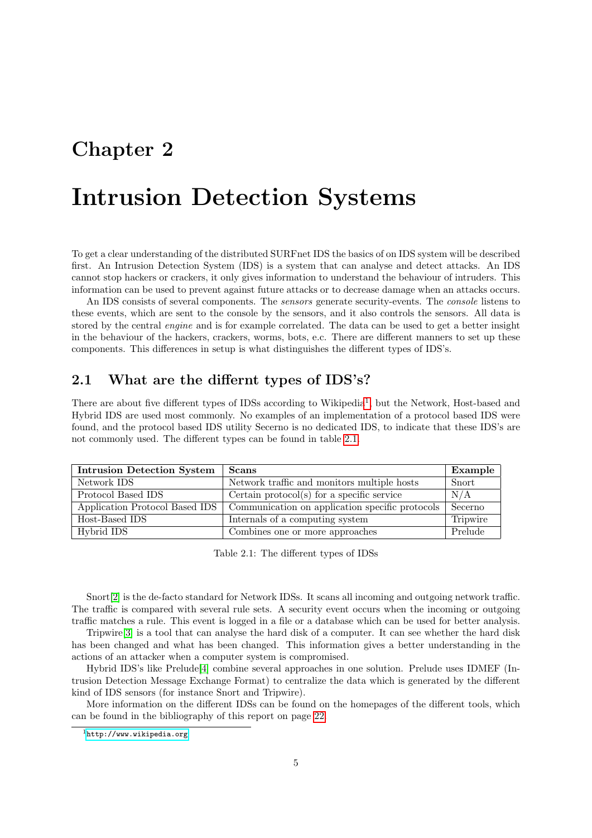## <span id="page-6-0"></span>Intrusion Detection Systems

To get a clear understanding of the distributed SURFnet IDS the basics of on IDS system will be described first. An Intrusion Detection System (IDS) is a system that can analyse and detect attacks. An IDS cannot stop hackers or crackers, it only gives information to understand the behaviour of intruders. This information can be used to prevent against future attacks or to decrease damage when an attacks occurs.

An IDS consists of several components. The *sensors* generate security-events. The *console* listens to these events, which are sent to the console by the sensors, and it also controls the sensors. All data is stored by the central *engine* and is for example correlated. The data can be used to get a better insight in the behaviour of the hackers, crackers, worms, bots, e.c. There are different manners to set up these components. This differences in setup is what distinguishes the different types of IDS's.

#### <span id="page-6-1"></span>2.1 What are the differnt types of IDS's?

There are about five different types of IDSs according to Wikipedia<sup>[1](#page-6-2)</sup>, but the Network, Host-based and Hybrid IDS are used most commonly. No examples of an implementation of a protocol based IDS were found, and the protocol based IDS utility Secerno is no dedicated IDS, to indicate that these IDS's are not commonly used. The different types can be found in table [2.1.](#page-6-3)

| Intrusion Detection System | Scans                                                                            | Example  |
|----------------------------|----------------------------------------------------------------------------------|----------|
| Network IDS                | Network traffic and monitors multiple hosts                                      | Snort    |
| Protocol Based IDS         | Certain protocol(s) for a specific service                                       | N/A      |
|                            | Application Protocol Based IDS   Communication on application specific protocols | Secerno  |
| Host-Based IDS             | Internals of a computing system                                                  | Tripwire |
| Hybrid IDS                 | Combines one or more approaches                                                  | Prelude  |

<span id="page-6-3"></span>Table 2.1: The different types of IDSs

Snort[\[2\]](#page-24-1) is the de-facto standard for Network IDSs. It scans all incoming and outgoing network traffic. The traffic is compared with several rule sets. A security event occurs when the incoming or outgoing traffic matches a rule. This event is logged in a file or a database which can be used for better analysis.

Tripwire[\[3\]](#page-24-2) is a tool that can analyse the hard disk of a computer. It can see whether the hard disk has been changed and what has been changed. This information gives a better understanding in the actions of an attacker when a computer system is compromised.

Hybrid IDS's like Prelude[\[4\]](#page-24-3) combine several approaches in one solution. Prelude uses IDMEF (Intrusion Detection Message Exchange Format) to centralize the data which is generated by the different kind of IDS sensors (for instance Snort and Tripwire).

More information on the different IDSs can be found on the homepages of the different tools, which can be found in the bibliography of this report on page [22.](#page-24-0)

<span id="page-6-2"></span> $1$ <http://www.wikipedia.org>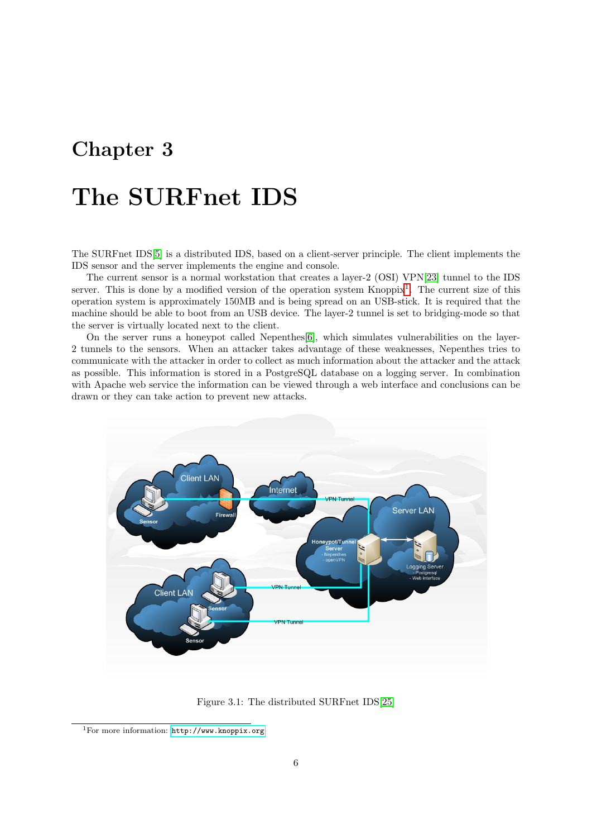# <span id="page-7-0"></span>The SURFnet IDS

The SURFnet IDS[\[5\]](#page-24-4) is a distributed IDS, based on a client-server principle. The client implements the IDS sensor and the server implements the engine and console.

The current sensor is a normal workstation that creates a layer-2 (OSI) VPN[\[23\]](#page-25-0) tunnel to the IDS server. This is done by a modified version of the operation system Knoppix<sup>[1](#page-7-1)</sup>. The current size of this operation system is approximately 150MB and is being spread on an USB-stick. It is required that the machine should be able to boot from an USB device. The layer-2 tunnel is set to bridging-mode so that the server is virtually located next to the client.

On the server runs a honeypot called Nepenthes[\[6\]](#page-24-5), which simulates vulnerabilities on the layer-2 tunnels to the sensors. When an attacker takes advantage of these weaknesses, Nepenthes tries to communicate with the attacker in order to collect as much information about the attacker and the attack as possible. This information is stored in a PostgreSQL database on a logging server. In combination with Apache web service the information can be viewed through a web interface and conclusions can be drawn or they can take action to prevent new attacks.



<span id="page-7-2"></span>Figure 3.1: The distributed SURFnet IDS[\[25\]](#page-25-1)

<span id="page-7-1"></span><sup>1</sup>For more information: <http://www.knoppix.org>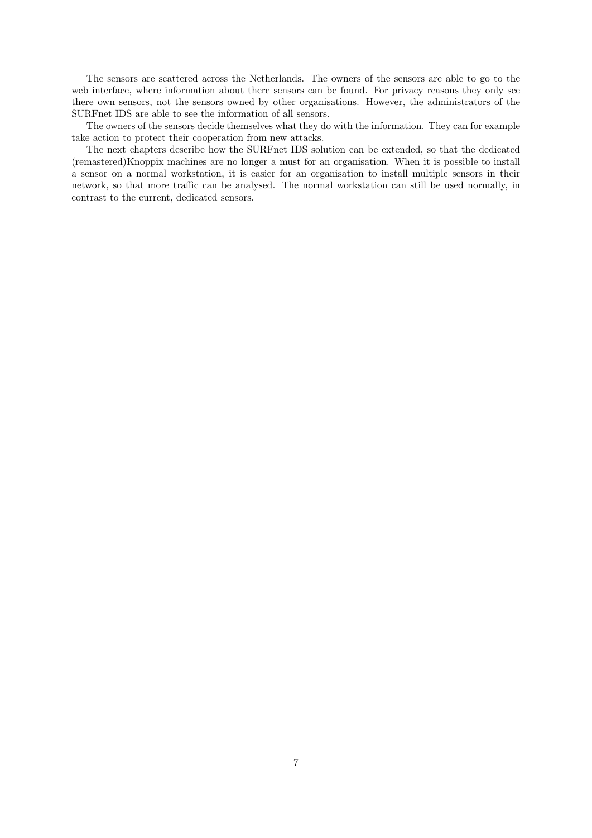The sensors are scattered across the Netherlands. The owners of the sensors are able to go to the web interface, where information about there sensors can be found. For privacy reasons they only see there own sensors, not the sensors owned by other organisations. However, the administrators of the SURFnet IDS are able to see the information of all sensors.

The owners of the sensors decide themselves what they do with the information. They can for example take action to protect their cooperation from new attacks.

The next chapters describe how the SURFnet IDS solution can be extended, so that the dedicated (remastered)Knoppix machines are no longer a must for an organisation. When it is possible to install a sensor on a normal workstation, it is easier for an organisation to install multiple sensors in their network, so that more traffic can be analysed. The normal workstation can still be used normally, in contrast to the current, dedicated sensors.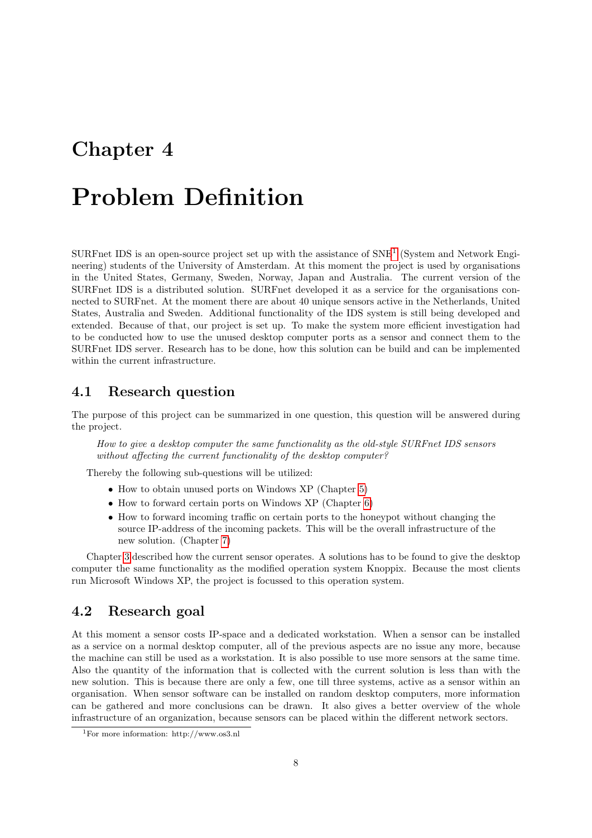# <span id="page-9-0"></span>Problem Definition

SURFnet IDS is an open-source project set up with the assistance of SNE<sup>[1](#page-9-3)</sup> (System and Network Engineering) students of the University of Amsterdam. At this moment the project is used by organisations in the United States, Germany, Sweden, Norway, Japan and Australia. The current version of the SURFnet IDS is a distributed solution. SURFnet developed it as a service for the organisations connected to SURFnet. At the moment there are about 40 unique sensors active in the Netherlands, United States, Australia and Sweden. Additional functionality of the IDS system is still being developed and extended. Because of that, our project is set up. To make the system more efficient investigation had to be conducted how to use the unused desktop computer ports as a sensor and connect them to the SURFnet IDS server. Research has to be done, how this solution can be build and can be implemented within the current infrastructure.

#### <span id="page-9-1"></span>4.1 Research question

The purpose of this project can be summarized in one question, this question will be answered during the project.

How to give a desktop computer the same functionality as the old-style SURFnet IDS sensors without affecting the current functionality of the desktop computer?

Thereby the following sub-questions will be utilized:

- How to obtain unused ports on Windows XP (Chapter [5\)](#page-11-0)
- How to forward certain ports on Windows XP (Chapter [6\)](#page-14-0)
- How to forward incoming traffic on certain ports to the honeypot without changing the source IP-address of the incoming packets. This will be the overall infrastructure of the new solution. (Chapter [7\)](#page-17-0)

Chapter [3](#page-7-0) described how the current sensor operates. A solutions has to be found to give the desktop computer the same functionality as the modified operation system Knoppix. Because the most clients run Microsoft Windows XP, the project is focussed to this operation system.

### <span id="page-9-2"></span>4.2 Research goal

At this moment a sensor costs IP-space and a dedicated workstation. When a sensor can be installed as a service on a normal desktop computer, all of the previous aspects are no issue any more, because the machine can still be used as a workstation. It is also possible to use more sensors at the same time. Also the quantity of the information that is collected with the current solution is less than with the new solution. This is because there are only a few, one till three systems, active as a sensor within an organisation. When sensor software can be installed on random desktop computers, more information can be gathered and more conclusions can be drawn. It also gives a better overview of the whole infrastructure of an organization, because sensors can be placed within the different network sectors.

<span id="page-9-3"></span><sup>1</sup>For more information: http://www.os3.nl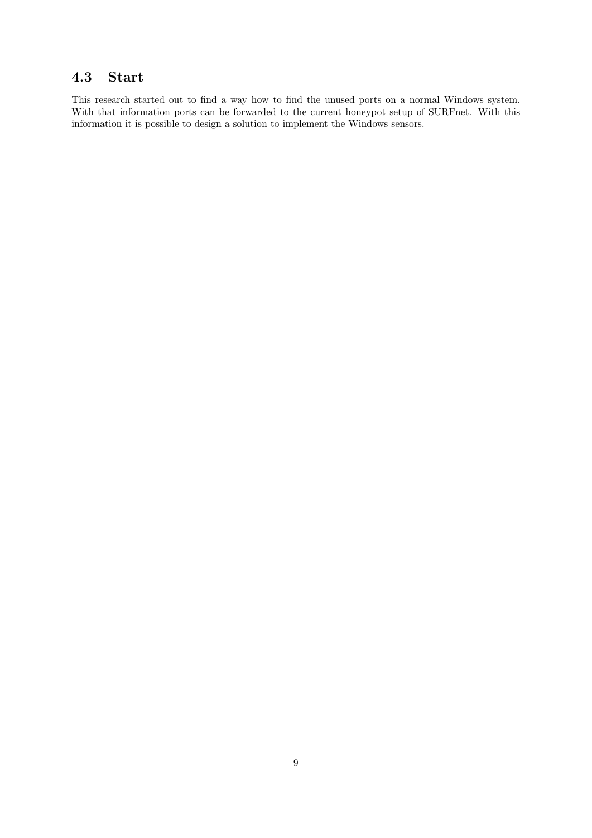## <span id="page-10-0"></span>4.3 Start

This research started out to find a way how to find the unused ports on a normal Windows system. With that information ports can be forwarded to the current honeypot setup of SURFnet. With this information it is possible to design a solution to implement the Windows sensors.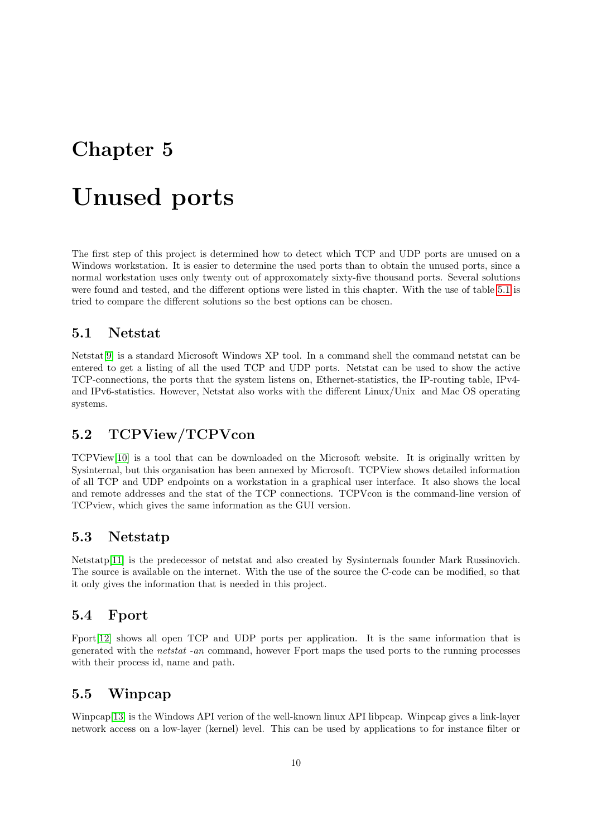# <span id="page-11-0"></span>Unused ports

The first step of this project is determined how to detect which TCP and UDP ports are unused on a Windows workstation. It is easier to determine the used ports than to obtain the unused ports, since a normal workstation uses only twenty out of approxomately sixty-five thousand ports. Several solutions were found and tested, and the different options were listed in this chapter. With the use of table [5.1](#page-12-4) is tried to compare the different solutions so the best options can be chosen.

#### <span id="page-11-1"></span>5.1 Netstat

Netstat[\[9\]](#page-24-6) is a standard Microsoft Windows XP tool. In a command shell the command netstat can be entered to get a listing of all the used TCP and UDP ports. Netstat can be used to show the active TCP-connections, the ports that the system listens on, Ethernet-statistics, the IP-routing table, IPv4 and IPv6-statistics. However, Netstat also works with the different Linux/Unix and Mac OS operating systems.

### <span id="page-11-2"></span>5.2 TCPView/TCPVcon

TCPView[\[10\]](#page-24-7) is a tool that can be downloaded on the Microsoft website. It is originally written by Sysinternal, but this organisation has been annexed by Microsoft. TCPView shows detailed information of all TCP and UDP endpoints on a workstation in a graphical user interface. It also shows the local and remote addresses and the stat of the TCP connections. TCPVcon is the command-line version of TCPview, which gives the same information as the GUI version.

#### <span id="page-11-3"></span>5.3 Netstatp

Netstatp[\[11\]](#page-24-8) is the predecessor of netstat and also created by Sysinternals founder Mark Russinovich. The source is available on the internet. With the use of the source the C-code can be modified, so that it only gives the information that is needed in this project.

#### <span id="page-11-4"></span>5.4 Fport

Fport[\[12\]](#page-24-9) shows all open TCP and UDP ports per application. It is the same information that is generated with the netstat -an command, however Fport maps the used ports to the running processes with their process id, name and path.

#### <span id="page-11-5"></span>5.5 Winpcap

Winpcap[\[13\]](#page-25-2) is the Windows API verion of the well-known linux API libpcap. Winpcap gives a link-layer network access on a low-layer (kernel) level. This can be used by applications to for instance filter or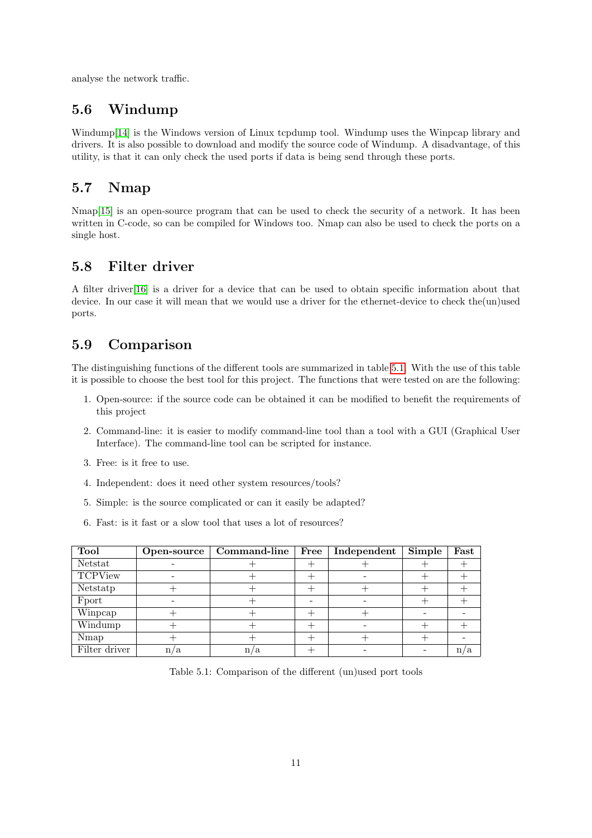analyse the network traffic.

### <span id="page-12-0"></span>5.6 Windump

Windump[\[14\]](#page-25-3) is the Windows version of Linux tcpdump tool. Windump uses the Winpcap library and drivers. It is also possible to download and modify the source code of Windump. A disadvantage, of this utility, is that it can only check the used ports if data is being send through these ports.

### <span id="page-12-1"></span>5.7 Nmap

Nmap<sup>[\[15\]](#page-25-4)</sup> is an open-source program that can be used to check the security of a network. It has been written in C-code, so can be compiled for Windows too. Nmap can also be used to check the ports on a single host.

### <span id="page-12-2"></span>5.8 Filter driver

A filter driver[\[16\]](#page-25-5) is a driver for a device that can be used to obtain specific information about that device. In our case it will mean that we would use a driver for the ethernet-device to check the(un)used ports.

### <span id="page-12-3"></span>5.9 Comparison

The distinguishing functions of the different tools are summarized in table [5.1.](#page-12-4) With the use of this table it is possible to choose the best tool for this project. The functions that were tested on are the following:

- 1. Open-source: if the source code can be obtained it can be modified to benefit the requirements of this project
- 2. Command-line: it is easier to modify command-line tool than a tool with a GUI (Graphical User Interface). The command-line tool can be scripted for instance.
- 3. Free: is it free to use.
- 4. Independent: does it need other system resources/tools?
- 5. Simple: is the source complicated or can it easily be adapted?
- 6. Fast: is it fast or a slow tool that uses a lot of resources?

| Tool           | Open-source | Command-line | Free | Independent | Simple | Fast |
|----------------|-------------|--------------|------|-------------|--------|------|
| Netstat        |             |              |      |             |        |      |
| <b>TCPView</b> |             |              |      |             |        |      |
| Netstatp       |             |              |      |             |        |      |
| Fport          |             |              |      |             |        |      |
| Winpcap        |             |              |      |             |        |      |
| Windump        |             |              |      |             |        |      |
| Nmap           |             |              |      |             |        |      |
| Filter driver  | n<br>ο.     |              |      |             |        |      |

<span id="page-12-4"></span>Table 5.1: Comparison of the different (un)used port tools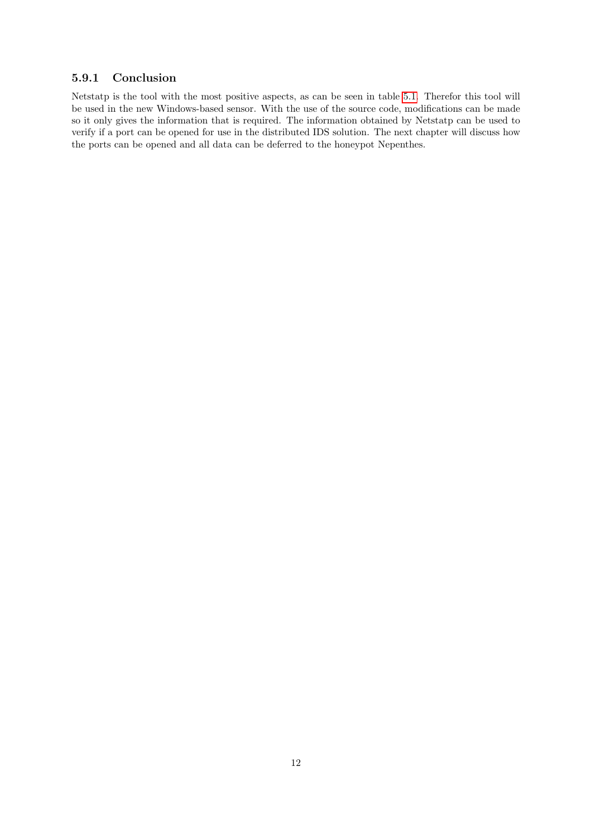#### <span id="page-13-0"></span>5.9.1 Conclusion

Netstatp is the tool with the most positive aspects, as can be seen in table [5.1.](#page-12-4) Therefor this tool will be used in the new Windows-based sensor. With the use of the source code, modifications can be made so it only gives the information that is required. The information obtained by Netstatp can be used to verify if a port can be opened for use in the distributed IDS solution. The next chapter will discuss how the ports can be opened and all data can be deferred to the honeypot Nepenthes.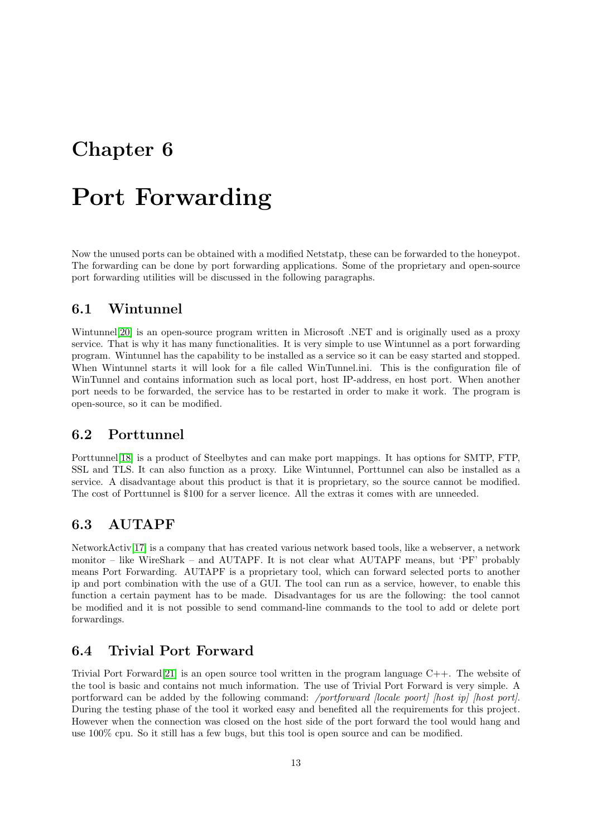# <span id="page-14-0"></span>Port Forwarding

Now the unused ports can be obtained with a modified Netstatp, these can be forwarded to the honeypot. The forwarding can be done by port forwarding applications. Some of the proprietary and open-source port forwarding utilities will be discussed in the following paragraphs.

#### <span id="page-14-1"></span>6.1 Wintunnel

Wintunnel<sup>[\[20\]](#page-25-6)</sup> is an open-source program written in Microsoft .NET and is originally used as a proxy service. That is why it has many functionalities. It is very simple to use Wintunnel as a port forwarding program. Wintunnel has the capability to be installed as a service so it can be easy started and stopped. When Wintunnel starts it will look for a file called WinTunnel.ini. This is the configuration file of WinTunnel and contains information such as local port, host IP-address, en host port. When another port needs to be forwarded, the service has to be restarted in order to make it work. The program is open-source, so it can be modified.

### <span id="page-14-2"></span>6.2 Porttunnel

Porttunnel[\[18\]](#page-25-7) is a product of Steelbytes and can make port mappings. It has options for SMTP, FTP, SSL and TLS. It can also function as a proxy. Like Wintunnel, Porttunnel can also be installed as a service. A disadvantage about this product is that it is proprietary, so the source cannot be modified. The cost of Porttunnel is \$100 for a server licence. All the extras it comes with are unneeded.

### <span id="page-14-3"></span>6.3 AUTAPF

NetworkActiv[\[17\]](#page-25-8) is a company that has created various network based tools, like a webserver, a network monitor – like WireShark – and AUTAPF. It is not clear what AUTAPF means, but 'PF' probably means Port Forwarding. AUTAPF is a proprietary tool, which can forward selected ports to another ip and port combination with the use of a GUI. The tool can run as a service, however, to enable this function a certain payment has to be made. Disadvantages for us are the following: the tool cannot be modified and it is not possible to send command-line commands to the tool to add or delete port forwardings.

### <span id="page-14-4"></span>6.4 Trivial Port Forward

Trivial Port Forward [\[21\]](#page-25-9) is an open source tool written in the program language  $C_{++}$ . The website of the tool is basic and contains not much information. The use of Trivial Port Forward is very simple. A portforward can be added by the following command: /portforward *[locale poort]* [host ip] [host port]. During the testing phase of the tool it worked easy and benefited all the requirements for this project. However when the connection was closed on the host side of the port forward the tool would hang and use 100% cpu. So it still has a few bugs, but this tool is open source and can be modified.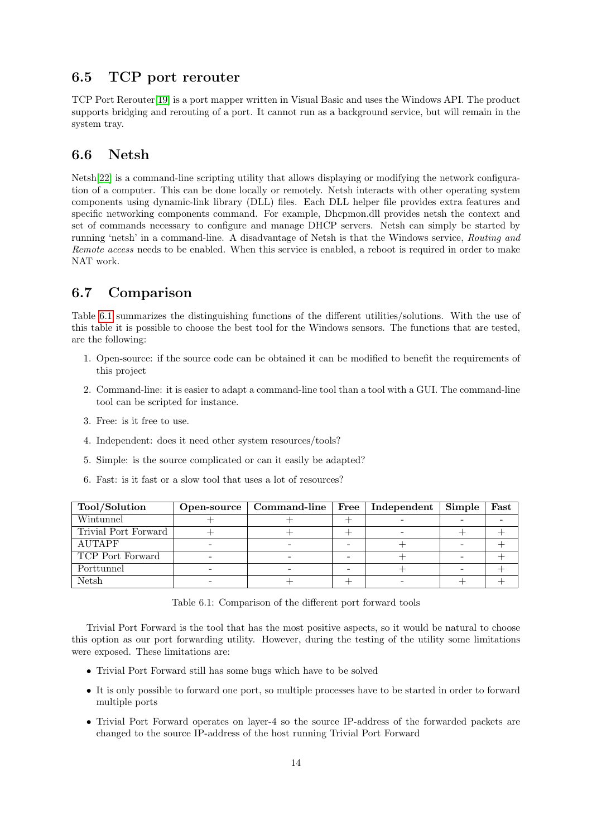### <span id="page-15-0"></span>6.5 TCP port rerouter

TCP Port Rerouter[\[19\]](#page-25-10) is a port mapper written in Visual Basic and uses the Windows API. The product supports bridging and rerouting of a port. It cannot run as a background service, but will remain in the system tray.

#### <span id="page-15-1"></span>6.6 Netsh

Netsh[\[22\]](#page-25-11) is a command-line scripting utility that allows displaying or modifying the network configuration of a computer. This can be done locally or remotely. Netsh interacts with other operating system components using dynamic-link library (DLL) files. Each DLL helper file provides extra features and specific networking components command. For example, Dhcpmon.dll provides netsh the context and set of commands necessary to configure and manage DHCP servers. Netsh can simply be started by running 'netsh' in a command-line. A disadvantage of Netsh is that the Windows service, Routing and Remote access needs to be enabled. When this service is enabled, a reboot is required in order to make NAT work.

### <span id="page-15-2"></span>6.7 Comparison

Table [6.1](#page-15-3) summarizes the distinguishing functions of the different utilities/solutions. With the use of this table it is possible to choose the best tool for the Windows sensors. The functions that are tested, are the following:

- 1. Open-source: if the source code can be obtained it can be modified to benefit the requirements of this project
- 2. Command-line: it is easier to adapt a command-line tool than a tool with a GUI. The command-line tool can be scripted for instance.
- 3. Free: is it free to use.
- 4. Independent: does it need other system resources/tools?
- 5. Simple: is the source complicated or can it easily be adapted?
- 6. Fast: is it fast or a slow tool that uses a lot of resources?

| Tool/Solution        | Open-source   Command-line   Free   Independent |  | Simple | Fast |
|----------------------|-------------------------------------------------|--|--------|------|
| Wintunnel            |                                                 |  |        |      |
| Trivial Port Forward |                                                 |  |        |      |
| <b>AUTAPF</b>        |                                                 |  |        |      |
| TCP Port Forward     |                                                 |  |        |      |
| Porttunnel           |                                                 |  |        |      |
| <b>Netsh</b>         |                                                 |  |        |      |

<span id="page-15-3"></span>Table 6.1: Comparison of the different port forward tools

Trivial Port Forward is the tool that has the most positive aspects, so it would be natural to choose this option as our port forwarding utility. However, during the testing of the utility some limitations were exposed. These limitations are:

- Trivial Port Forward still has some bugs which have to be solved
- It is only possible to forward one port, so multiple processes have to be started in order to forward multiple ports
- Trivial Port Forward operates on layer-4 so the source IP-address of the forwarded packets are changed to the source IP-address of the host running Trivial Port Forward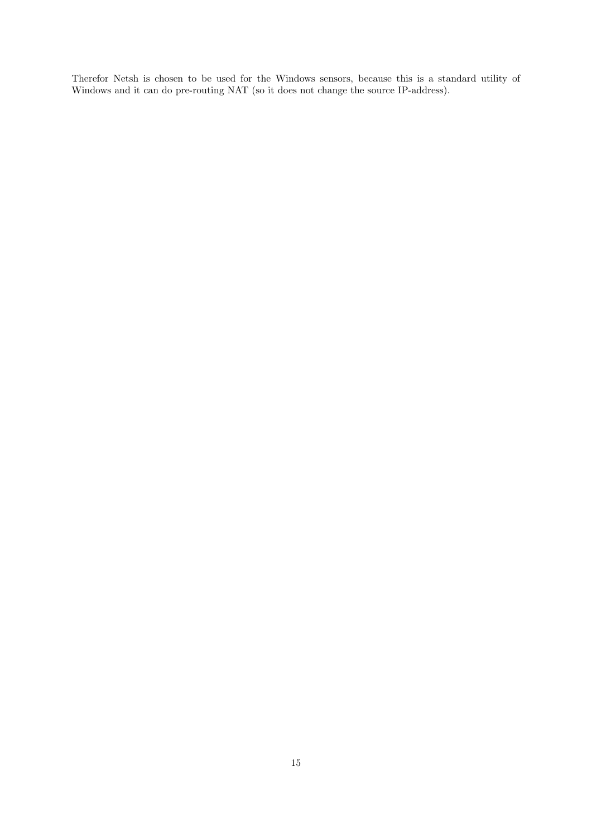Therefor Netsh is chosen to be used for the Windows sensors, because this is a standard utility of Windows and it can do pre-routing NAT (so it does not change the source IP-address).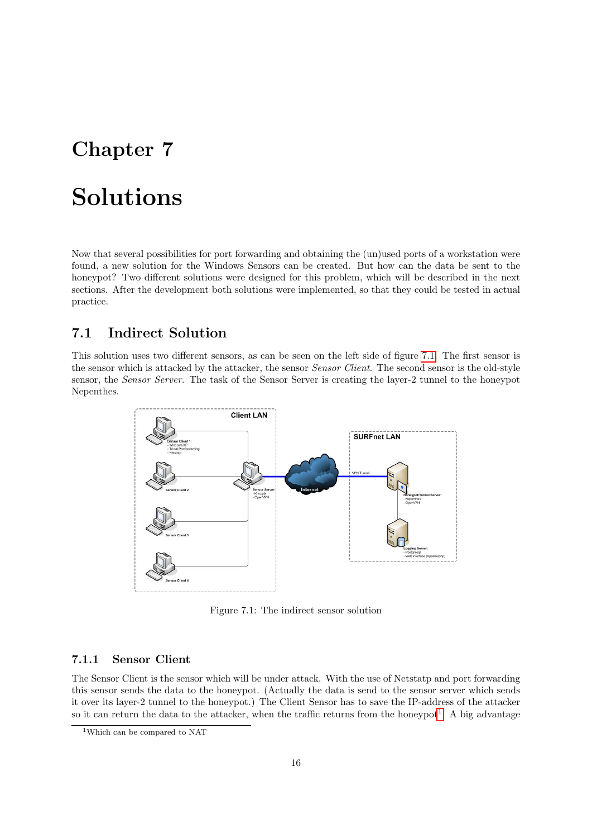# <span id="page-17-0"></span>Solutions

Now that several possibilities for port forwarding and obtaining the (un)used ports of a workstation were found, a new solution for the Windows Sensors can be created. But how can the data be sent to the honeypot? Two different solutions were designed for this problem, which will be described in the next sections. After the development both solutions were implemented, so that they could be tested in actual practice.

### <span id="page-17-1"></span>7.1 Indirect Solution

This solution uses two different sensors, as can be seen on the left side of figure [7.1.](#page-17-3) The first sensor is the sensor which is attacked by the attacker, the sensor *Sensor Client*. The second sensor is the old-style sensor, the Sensor Server. The task of the Sensor Server is creating the layer-2 tunnel to the honeypot Nepenthes.



<span id="page-17-3"></span>Figure 7.1: The indirect sensor solution

#### <span id="page-17-2"></span>7.1.1 Sensor Client

The Sensor Client is the sensor which will be under attack. With the use of Netstatp and port forwarding this sensor sends the data to the honeypot. (Actually the data is send to the sensor server which sends it over its layer-2 tunnel to the honeypot.) The Client Sensor has to save the IP-address of the attacker so it can return the data to the attacker, when the traffic returns from the honeypot<sup>[1](#page-17-4)</sup>. A big advantage

<span id="page-17-4"></span><sup>1</sup>Which can be compared to NAT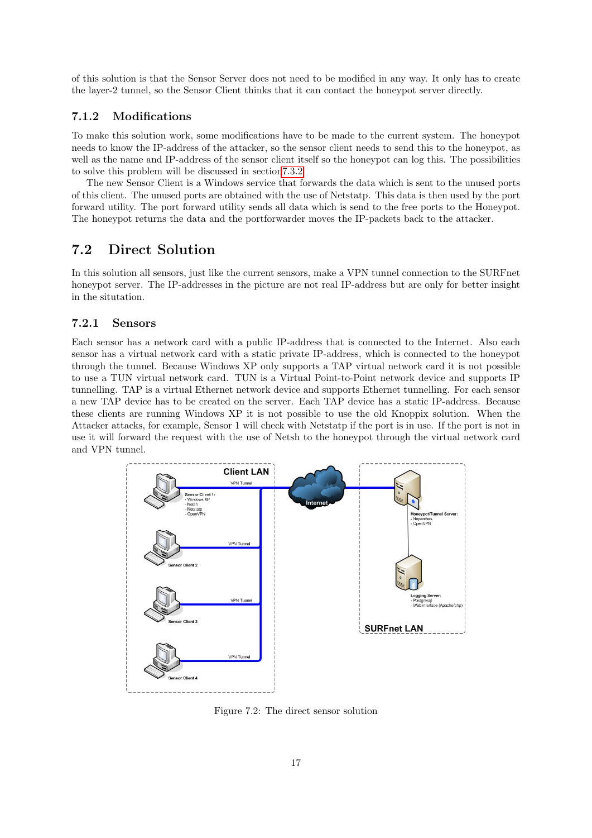of this solution is that the Sensor Server does not need to be modified in any way. It only has to create the layer-2 tunnel, so the Sensor Client thinks that it can contact the honeypot server directly.

#### <span id="page-18-0"></span>7.1.2 Modifications

To make this solution work, some modifications have to be made to the current system. The honeypot needs to know the IP-address of the attacker, so the sensor client needs to send this to the honeypot, as well as the name and IP-address of the sensor client itself so the honeypot can log this. The possibilities to solve this problem will be discussed in sectio[n7.3.2](#page-19-2)

The new Sensor Client is a Windows service that forwards the data which is sent to the unused ports of this client. The unused ports are obtained with the use of Netstatp. This data is then used by the port forward utility. The port forward utility sends all data which is send to the free ports to the Honeypot. The honeypot returns the data and the portforwarder moves the IP-packets back to the attacker.

#### <span id="page-18-1"></span>7.2 Direct Solution

In this solution all sensors, just like the current sensors, make a VPN tunnel connection to the SURFnet honeypot server. The IP-addresses in the picture are not real IP-address but are only for better insight in the situtation.

#### <span id="page-18-2"></span>7.2.1 Sensors

Each sensor has a network card with a public IP-address that is connected to the Internet. Also each sensor has a virtual network card with a static private IP-address, which is connected to the honeypot through the tunnel. Because Windows XP only supports a TAP virtual network card it is not possible to use a TUN virtual network card. TUN is a Virtual Point-to-Point network device and supports IP tunnelling. TAP is a virtual Ethernet network device and supports Ethernet tunnelling. For each sensor a new TAP device has to be created on the server. Each TAP device has a static IP-address. Because these clients are running Windows XP it is not possible to use the old Knoppix solution. When the Attacker attacks, for example, Sensor 1 will check with Netstatp if the port is in use. If the port is not in use it will forward the request with the use of Netsh to the honeypot through the virtual network card and VPN tunnel.



Figure 7.2: The direct sensor solution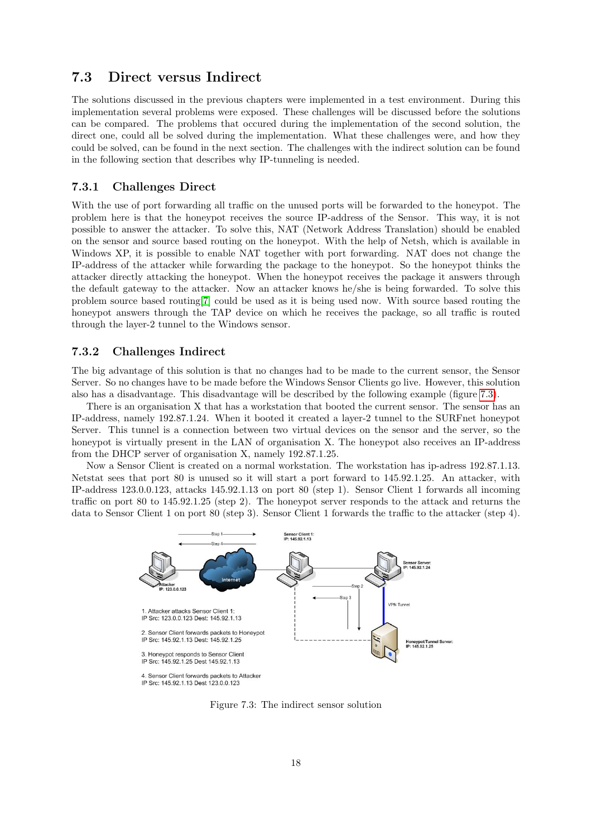#### <span id="page-19-0"></span>7.3 Direct versus Indirect

The solutions discussed in the previous chapters were implemented in a test environment. During this implementation several problems were exposed. These challenges will be discussed before the solutions can be compared. The problems that occured during the implementation of the second solution, the direct one, could all be solved during the implementation. What these challenges were, and how they could be solved, can be found in the next section. The challenges with the indirect solution can be found in the following section that describes why IP-tunneling is needed.

#### <span id="page-19-1"></span>7.3.1 Challenges Direct

With the use of port forwarding all traffic on the unused ports will be forwarded to the honeypot. The problem here is that the honeypot receives the source IP-address of the Sensor. This way, it is not possible to answer the attacker. To solve this, NAT (Network Address Translation) should be enabled on the sensor and source based routing on the honeypot. With the help of Netsh, which is available in Windows XP, it is possible to enable NAT together with port forwarding. NAT does not change the IP-address of the attacker while forwarding the package to the honeypot. So the honeypot thinks the attacker directly attacking the honeypot. When the honeypot receives the package it answers through the default gateway to the attacker. Now an attacker knows he/she is being forwarded. To solve this problem source based routing[\[7\]](#page-24-10) could be used as it is being used now. With source based routing the honeypot answers through the TAP device on which he receives the package, so all traffic is routed through the layer-2 tunnel to the Windows sensor.

#### <span id="page-19-2"></span>7.3.2 Challenges Indirect

The big advantage of this solution is that no changes had to be made to the current sensor, the Sensor Server. So no changes have to be made before the Windows Sensor Clients go live. However, this solution also has a disadvantage. This disadvantage will be described by the following example (figure [7.3\)](#page-19-3).

There is an organisation X that has a workstation that booted the current sensor. The sensor has an IP-address, namely 192.87.1.24. When it booted it created a layer-2 tunnel to the SURFnet honeypot Server. This tunnel is a connection between two virtual devices on the sensor and the server, so the honeypot is virtually present in the LAN of organisation X. The honeypot also receives an IP-address from the DHCP server of organisation X, namely 192.87.1.25.

Now a Sensor Client is created on a normal workstation. The workstation has ip-adress 192.87.1.13. Netstat sees that port 80 is unused so it will start a port forward to 145.92.1.25. An attacker, with IP-address 123.0.0.123, attacks 145.92.1.13 on port 80 (step 1). Sensor Client 1 forwards all incoming traffic on port 80 to 145.92.1.25 (step 2). The honeypot server responds to the attack and returns the data to Sensor Client 1 on port 80 (step 3). Sensor Client 1 forwards the traffic to the attacker (step 4).



<span id="page-19-3"></span>Figure 7.3: The indirect sensor solution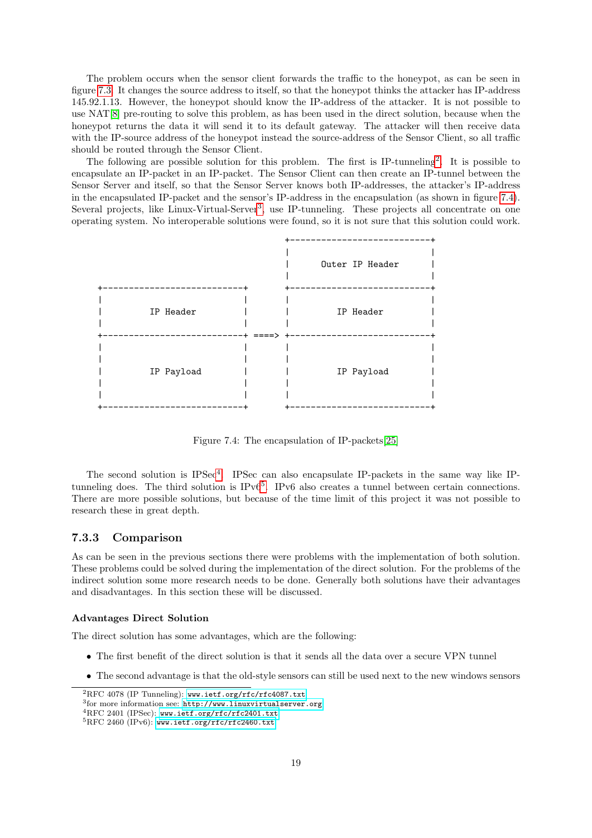The problem occurs when the sensor client forwards the traffic to the honeypot, as can be seen in figure [7.3.](#page-19-3) It changes the source address to itself, so that the honeypot thinks the attacker has IP-address 145.92.1.13. However, the honeypot should know the IP-address of the attacker. It is not possible to use NAT[\[8\]](#page-24-11) pre-routing to solve this problem, as has been used in the direct solution, because when the honeypot returns the data it will send it to its default gateway. The attacker will then receive data with the IP-source address of the honeypot instead the source-address of the Sensor Client, so all traffic should be routed through the Sensor Client.

The following are possible solution for this problem. The first is IP-tunneling<sup>[2](#page-20-1)</sup>. It is possible to encapsulate an IP-packet in an IP-packet. The Sensor Client can then create an IP-tunnel between the Sensor Server and itself, so that the Sensor Server knows both IP-addresses, the attacker's IP-address in the encapsulated IP-packet and the sensor's IP-address in the encapsulation (as shown in figure [7.4\)](#page-20-2). Several projects, like Linux-Virtual-Server<sup>[3](#page-20-3)</sup>, use IP-tunneling. These projects all concentrate on one operating system. No interoperable solutions were found, so it is not sure that this solution could work.



<span id="page-20-2"></span>Figure 7.4: The encapsulation of IP-packets[\[25\]](#page-25-1)

The second solution is IPSec<sup>[4](#page-20-4)</sup>. IPSec can also encapsulate IP-packets in the same way like IP-tunneling does. The third solution is IPv6<sup>[5](#page-20-5)</sup>. IPv6 also creates a tunnel between certain connections. There are more possible solutions, but because of the time limit of this project it was not possible to research these in great depth.

#### <span id="page-20-0"></span>7.3.3 Comparison

As can be seen in the previous sections there were problems with the implementation of both solution. These problems could be solved during the implementation of the direct solution. For the problems of the indirect solution some more research needs to be done. Generally both solutions have their advantages and disadvantages. In this section these will be discussed.

#### Advantages Direct Solution

The direct solution has some advantages, which are the following:

- The first benefit of the direct solution is that it sends all the data over a secure VPN tunnel
- The second advantage is that the old-style sensors can still be used next to the new windows sensors

<span id="page-20-1"></span><sup>2</sup>RFC 4078 (IP Tunneling): [www.ietf.org/rfc/rfc4087.txt](www.ietf.org/rfc/rfc4087.txt )

<span id="page-20-3"></span> ${}^{3}$ for more information see: <http://www.linuxvirtualserver.org>

<span id="page-20-4"></span><sup>4</sup>RFC 2401 (IPSec): <www.ietf.org/rfc/rfc2401.txt>

<span id="page-20-5"></span> ${}^{5}$ RFC 2460 (IPv6): <www.ietf.org/rfc/rfc2460.txt>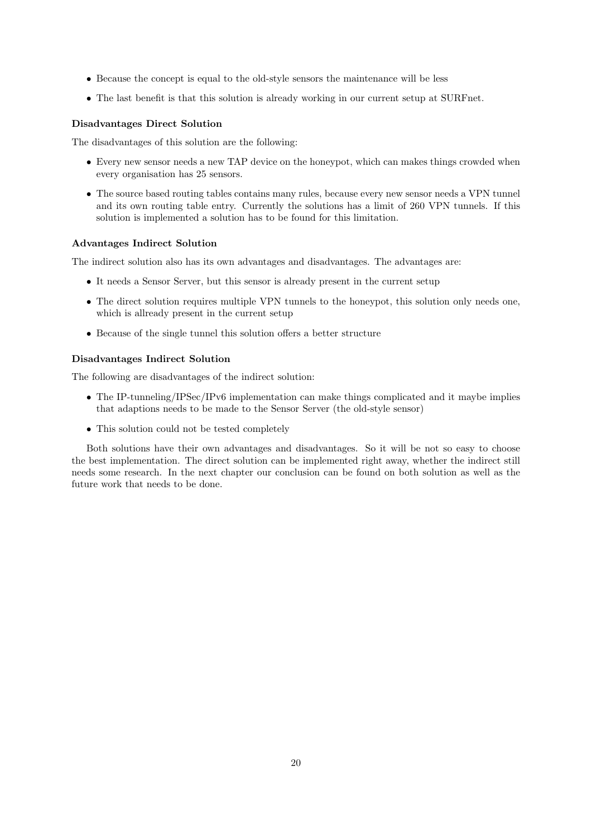- Because the concept is equal to the old-style sensors the maintenance will be less
- The last benefit is that this solution is already working in our current setup at SURFnet.

#### Disadvantages Direct Solution

The disadvantages of this solution are the following:

- Every new sensor needs a new TAP device on the honeypot, which can makes things crowded when every organisation has 25 sensors.
- The source based routing tables contains many rules, because every new sensor needs a VPN tunnel and its own routing table entry. Currently the solutions has a limit of 260 VPN tunnels. If this solution is implemented a solution has to be found for this limitation.

#### Advantages Indirect Solution

The indirect solution also has its own advantages and disadvantages. The advantages are:

- It needs a Sensor Server, but this sensor is already present in the current setup
- The direct solution requires multiple VPN tunnels to the honeypot, this solution only needs one, which is allready present in the current setup
- Because of the single tunnel this solution offers a better structure

#### Disadvantages Indirect Solution

The following are disadvantages of the indirect solution:

- The IP-tunneling/IPSec/IPv6 implementation can make things complicated and it maybe implies that adaptions needs to be made to the Sensor Server (the old-style sensor)
- This solution could not be tested completely

Both solutions have their own advantages and disadvantages. So it will be not so easy to choose the best implementation. The direct solution can be implemented right away, whether the indirect still needs some research. In the next chapter our conclusion can be found on both solution as well as the future work that needs to be done.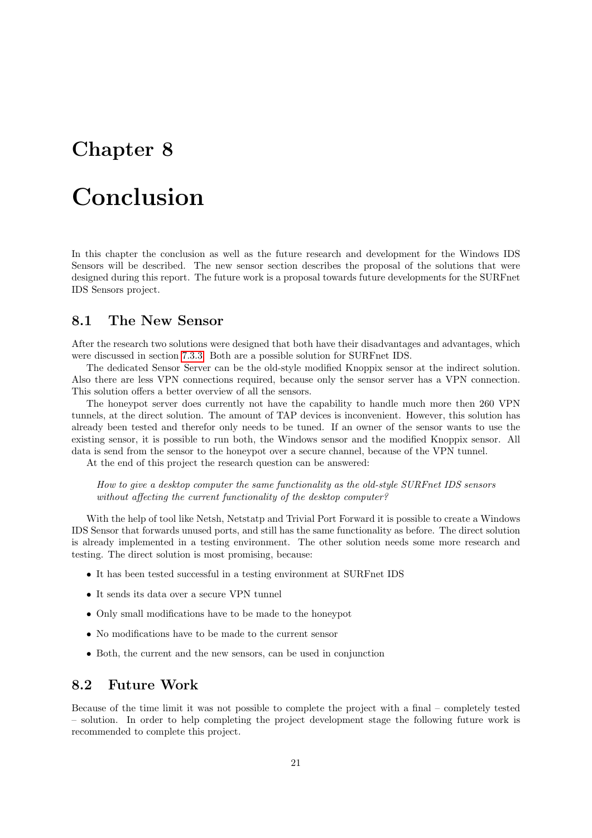# <span id="page-22-0"></span>Conclusion

In this chapter the conclusion as well as the future research and development for the Windows IDS Sensors will be described. The new sensor section describes the proposal of the solutions that were designed during this report. The future work is a proposal towards future developments for the SURFnet IDS Sensors project.

### <span id="page-22-1"></span>8.1 The New Sensor

After the research two solutions were designed that both have their disadvantages and advantages, which were discussed in section [7.3.3.](#page-20-0) Both are a possible solution for SURFnet IDS.

The dedicated Sensor Server can be the old-style modified Knoppix sensor at the indirect solution. Also there are less VPN connections required, because only the sensor server has a VPN connection. This solution offers a better overview of all the sensors.

The honeypot server does currently not have the capability to handle much more then 260 VPN tunnels, at the direct solution. The amount of TAP devices is inconvenient. However, this solution has already been tested and therefor only needs to be tuned. If an owner of the sensor wants to use the existing sensor, it is possible to run both, the Windows sensor and the modified Knoppix sensor. All data is send from the sensor to the honeypot over a secure channel, because of the VPN tunnel.

At the end of this project the research question can be answered:

How to give a desktop computer the same functionality as the old-style SURFnet IDS sensors without affecting the current functionality of the desktop computer?

With the help of tool like Netsh, Netstatp and Trivial Port Forward it is possible to create a Windows IDS Sensor that forwards unused ports, and still has the same functionality as before. The direct solution is already implemented in a testing environment. The other solution needs some more research and testing. The direct solution is most promising, because:

- It has been tested successful in a testing environment at SURFnet IDS
- It sends its data over a secure VPN tunnel
- Only small modifications have to be made to the honeypot
- No modifications have to be made to the current sensor
- Both, the current and the new sensors, can be used in conjunction

#### <span id="page-22-2"></span>8.2 Future Work

Because of the time limit it was not possible to complete the project with a final – completely tested – solution. In order to help completing the project development stage the following future work is recommended to complete this project.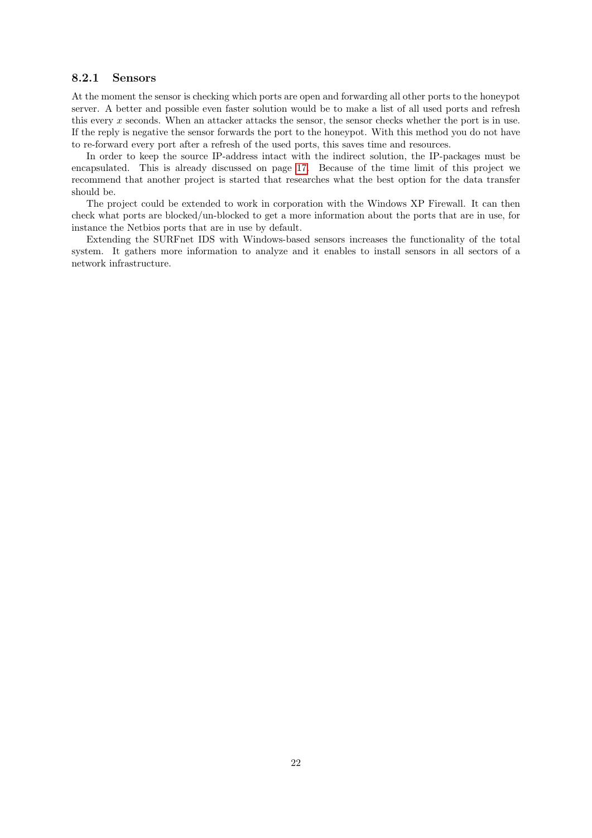#### <span id="page-23-0"></span>8.2.1 Sensors

At the moment the sensor is checking which ports are open and forwarding all other ports to the honeypot server. A better and possible even faster solution would be to make a list of all used ports and refresh this every x seconds. When an attacker attacks the sensor, the sensor checks whether the port is in use. If the reply is negative the sensor forwards the port to the honeypot. With this method you do not have to re-forward every port after a refresh of the used ports, this saves time and resources.

In order to keep the source IP-address intact with the indirect solution, the IP-packages must be encapsulated. This is already discussed on page [17.](#page-19-2) Because of the time limit of this project we recommend that another project is started that researches what the best option for the data transfer should be.

The project could be extended to work in corporation with the Windows XP Firewall. It can then check what ports are blocked/un-blocked to get a more information about the ports that are in use, for instance the Netbios ports that are in use by default.

Extending the SURFnet IDS with Windows-based sensors increases the functionality of the total system. It gathers more information to analyze and it enables to install sensors in all sectors of a network infrastructure.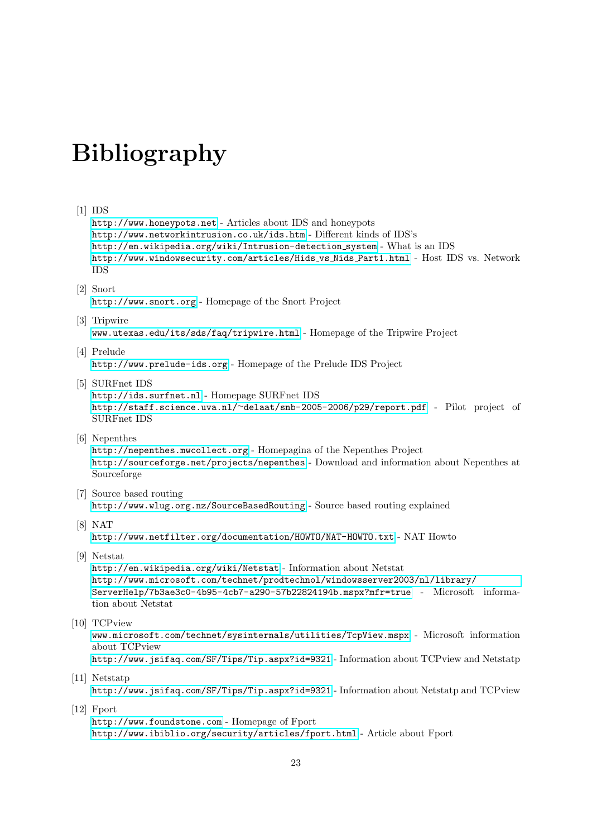# Bibliography

#### <span id="page-24-0"></span>[1] IDS

<http://www.honeypots.net> - Articles about IDS and honeypots <http://www.networkintrusion.co.uk/ids.htm> - Different kinds of IDS's [http://en.wikipedia.org/wiki/Intrusion-detection](http://en.wikipedia.org/wiki/Intrusion-detection_system) system - What is an IDS [http://www.windowsecurity.com/articles/Hids](http://www.windowsecurity.com/articles/Hids_vs_Nids_Part1.html) vs Nids Part1.html - Host IDS vs. Network IDS

<span id="page-24-1"></span>[2] Snort

<http://www.snort.org> - Homepage of the Snort Project

<span id="page-24-2"></span>[3] Tripwire

<www.utexas.edu/its/sds/faq/tripwire.html> - Homepage of the Tripwire Project

<span id="page-24-3"></span>[4] Prelude

<http://www.prelude-ids.org> - Homepage of the Prelude IDS Project

- <span id="page-24-4"></span>[5] SURFnet IDS <http://ids.surfnet.nl> - Homepage SURFnet IDS http://staff.science.uva.nl/<sup>∼</sup>[delaat/snb-2005-2006/p29/report.pdf](http://staff.science.uva.nl/~delaat/snb-2005-2006/p29/report.pdf) - Pilot project of SURFnet IDS
- <span id="page-24-5"></span>[6] Nepenthes

<http://nepenthes.mwcollect.org> - Homepagina of the Nepenthes Project <http://sourceforge.net/projects/nepenthes> - Download and information about Nepenthes at Sourceforge

- <span id="page-24-10"></span>[7] Source based routing <http://www.wlug.org.nz/SourceBasedRouting> - Source based routing explained
- <span id="page-24-11"></span>[8] NAT <http://www.netfilter.org/documentation/HOWTO/NAT-HOWTO.txt> - NAT Howto
- <span id="page-24-6"></span>[9] Netstat

<http://en.wikipedia.org/wiki/Netstat> - Information about Netstat [http://www.microsoft.com/technet/prodtechnol/windowsserver2003/nl/library/](http://www.microsoft.com/technet/prodtechnol/windowsserver2003/nl/library/ServerHelp/7b3ae3c0-4b95-4cb7-a290-57b22824194b.mspx?mfr=true) [ServerHelp/7b3ae3c0-4b95-4cb7-a290-57b22824194b.mspx?mfr=true](http://www.microsoft.com/technet/prodtechnol/windowsserver2003/nl/library/ServerHelp/7b3ae3c0-4b95-4cb7-a290-57b22824194b.mspx?mfr=true) - Microsoft information about Netstat

<span id="page-24-7"></span>[10] TCPview

<www.microsoft.com/technet/sysinternals/utilities/TcpView.mspx> - Microsoft information about TCPview <http://www.jsifaq.com/SF/Tips/Tip.aspx?id=9321> - Information about TCPview and Netstatp

<span id="page-24-8"></span>[11] Netstatp

<http://www.jsifaq.com/SF/Tips/Tip.aspx?id=9321> - Information about Netstatp and TCPview

<span id="page-24-9"></span>[12] Fport

<http://www.foundstone.com> - Homepage of Fport <http://www.ibiblio.org/security/articles/fport.html> - Article about Fport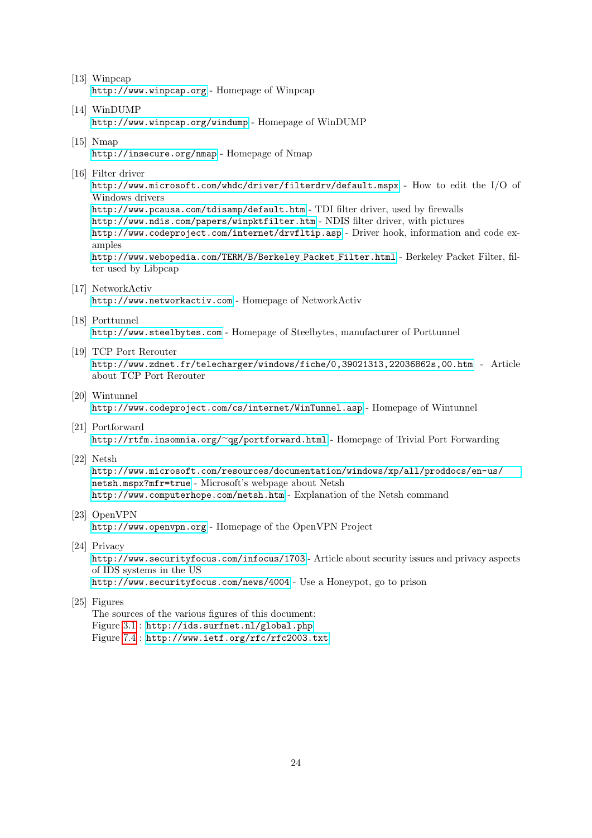- <span id="page-25-2"></span>[13] Winpcap <http://www.winpcap.org> - Homepage of Winpcap
- <span id="page-25-3"></span>[14] WinDUMP <http://www.winpcap.org/windump> - Homepage of WinDUMP
- <span id="page-25-4"></span>[15] Nmap
	- <http://insecure.org/nmap> Homepage of Nmap
- <span id="page-25-5"></span>[16] Filter driver

<http://www.microsoft.com/whdc/driver/filterdrv/default.mspx> - How to edit the I/O of Windows drivers <http://www.pcausa.com/tdisamp/default.htm> - TDI filter driver, used by firewalls

<http://www.ndis.com/papers/winpktfilter.htm> - NDIS filter driver, with pictures <http://www.codeproject.com/internet/drvfltip.asp> - Driver hook, information and code examples

[http://www.webopedia.com/TERM/B/Berkeley](http://www.webopedia.com/TERM/B/Berkeley_Packet_Filter.html) Packet Filter.html - Berkeley Packet Filter, filter used by Libpcap

- <span id="page-25-8"></span>[17] NetworkActiv <http://www.networkactiv.com> - Homepage of NetworkActiv
- <span id="page-25-7"></span>[18] Porttunnel

<http://www.steelbytes.com> - Homepage of Steelbytes, manufacturer of Porttunnel

<span id="page-25-10"></span>[19] TCP Port Rerouter

<http://www.zdnet.fr/telecharger/windows/fiche/0,39021313,22036862s,00.htm> - Article about TCP Port Rerouter

- <span id="page-25-6"></span>[20] Wintunnel <http://www.codeproject.com/cs/internet/WinTunnel.asp> - Homepage of Wintunnel
- <span id="page-25-9"></span>[21] Portforward [http://rtfm.insomnia.org/](http://rtfm.insomnia.org/~qg/portforward.html)<sup>∼</sup>qg/portforward.html - Homepage of Trivial Port Forwarding
- <span id="page-25-11"></span>[22] Netsh

[http://www.microsoft.com/resources/documentation/windows/xp/all/proddocs/en-us/](http://www.microsoft.com/resources/documentation/windows/xp/all/proddocs/en-us/netsh.mspx?mfr=true) [netsh.mspx?mfr=true](http://www.microsoft.com/resources/documentation/windows/xp/all/proddocs/en-us/netsh.mspx?mfr=true) - Microsoft's webpage about Netsh <http://www.computerhope.com/netsh.htm> - Explanation of the Netsh command

- <span id="page-25-0"></span>[23] OpenVPN <http://www.openvpn.org> - Homepage of the OpenVPN Project
- [24] Privacy

<http://www.securityfocus.com/infocus/1703> - Article about security issues and privacy aspects of IDS systems in the US

<http://www.securityfocus.com/news/4004> - Use a Honeypot, go to prison

<span id="page-25-1"></span>[25] Figures

The sources of the various figures of this document: Figure [3.1](#page-7-2) : <http://ids.surfnet.nl/global.php> Figure [7.4](#page-20-2) : <http://www.ietf.org/rfc/rfc2003.txt>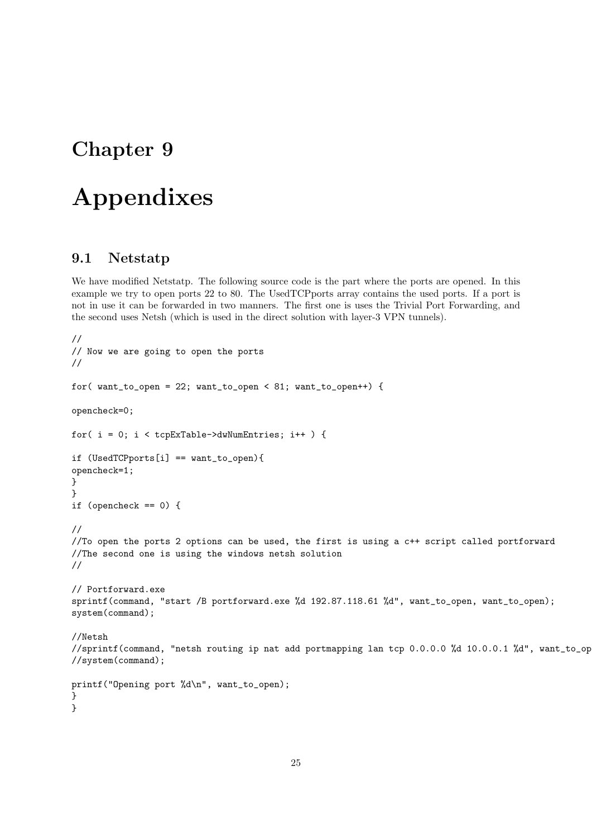# <span id="page-26-0"></span>Appendixes

### <span id="page-26-1"></span>9.1 Netstatp

We have modified Netstatp. The following source code is the part where the ports are opened. In this example we try to open ports 22 to 80. The UsedTCPports array contains the used ports. If a port is not in use it can be forwarded in two manners. The first one is uses the Trivial Port Forwarding, and the second uses Netsh (which is used in the direct solution with layer-3 VPN tunnels).

```
//
// Now we are going to open the ports
//
for( want_to_open = 22; want_to_open < 81; want_to_open++) {
opencheck=0;
for(i = 0; i < tcpExTable->dwNumEntries; i++ ) {
if (UsedTCPports[i] == want_to_open){
opencheck=1;
}
}
if (opencheck == 0) {
//
//To open the ports 2 options can be used, the first is using a c++ script called portforward
//The second one is using the windows netsh solution
//
// Portforward.exe
sprintf(command, "start /B portforward.exe %d 192.87.118.61 %d", want_to_open, want_to_open);
system(command);
//Netsh
//sprintf(command, "netsh routing ip nat add portmapping lan tcp 0.0.0.0 %d 10.0.0.1 %d", want_to_op
//system(command);
printf("Opening port %d\n", want_to_open);
}
}
```